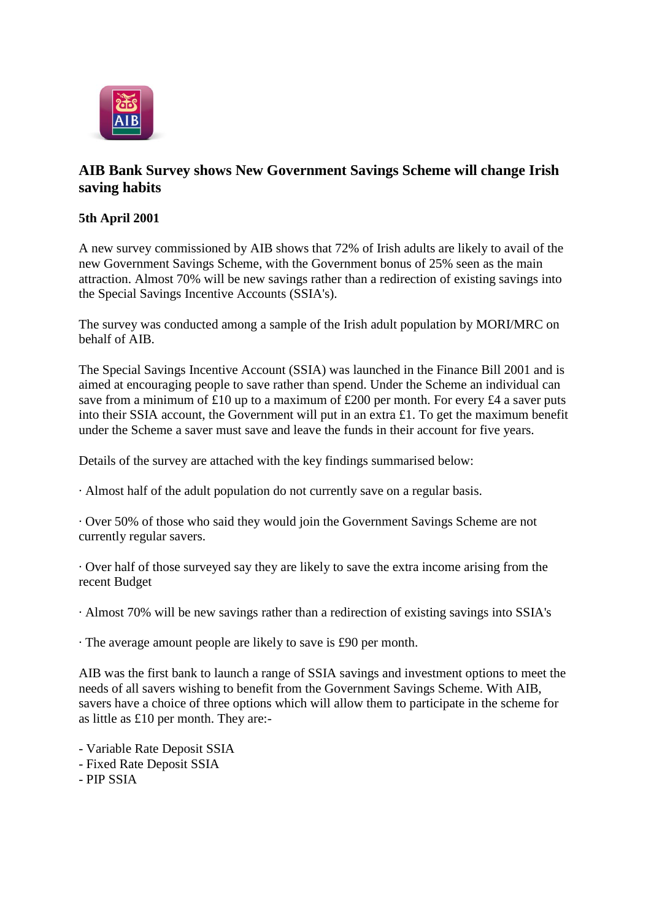

## **AIB Bank Survey shows New Government Savings Scheme will change Irish saving habits**

## **5th April 2001**

A new survey commissioned by AIB shows that 72% of Irish adults are likely to avail of the new Government Savings Scheme, with the Government bonus of 25% seen as the main attraction. Almost 70% will be new savings rather than a redirection of existing savings into the Special Savings Incentive Accounts (SSIA's).

The survey was conducted among a sample of the Irish adult population by MORI/MRC on behalf of AIB.

The Special Savings Incentive Account (SSIA) was launched in the Finance Bill 2001 and is aimed at encouraging people to save rather than spend. Under the Scheme an individual can save from a minimum of £10 up to a maximum of £200 per month. For every £4 a saver puts into their SSIA account, the Government will put in an extra £1. To get the maximum benefit under the Scheme a saver must save and leave the funds in their account for five years.

Details of the survey are attached with the key findings summarised below:

· Almost half of the adult population do not currently save on a regular basis.

· Over 50% of those who said they would join the Government Savings Scheme are not currently regular savers.

· Over half of those surveyed say they are likely to save the extra income arising from the recent Budget

· Almost 70% will be new savings rather than a redirection of existing savings into SSIA's

· The average amount people are likely to save is £90 per month.

AIB was the first bank to launch a range of SSIA savings and investment options to meet the needs of all savers wishing to benefit from the Government Savings Scheme. With AIB, savers have a choice of three options which will allow them to participate in the scheme for as little as £10 per month. They are:-

- Variable Rate Deposit SSIA
- Fixed Rate Deposit SSIA
- PIP SSIA